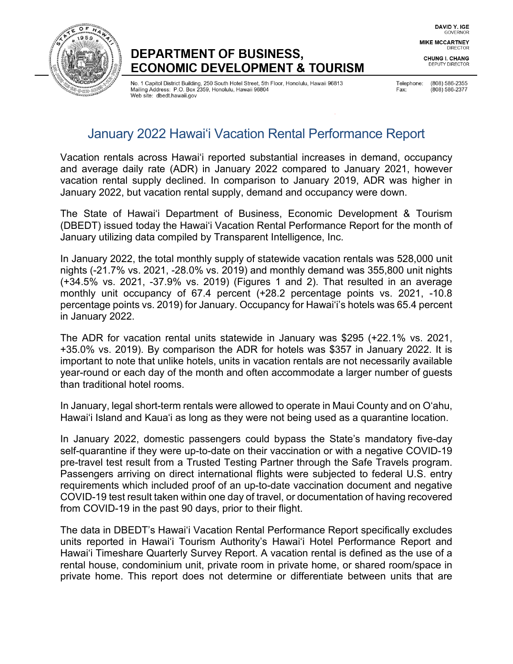

# **DEPARTMENT OF BUSINESS, ECONOMIC DEVELOPMENT & TOURISM**

No. 1 Capitol District Building, 250 South Hotel Street, 5th Floor, Honolulu, Hawaii 96813 Mailing Address: P.O. Box 2359, Honolulu, Hawaii 96804 Web site: dbedt.hawaii.gov

(808) 586-2355 Telephone: (808) 586-2377 Fax:

# January 2022 Hawai'i Vacation Rental Performance Report

Vacation rentals across Hawaiʻi reported substantial increases in demand, occupancy and average daily rate (ADR) in January 2022 compared to January 2021, however vacation rental supply declined. In comparison to January 2019, ADR was higher in January 2022, but vacation rental supply, demand and occupancy were down.

The State of Hawai'i Department of Business, Economic Development & Tourism (DBEDT) issued today the Hawai'i Vacation Rental Performance Report for the month of January utilizing data compiled by Transparent Intelligence, Inc.

In January 2022, the total monthly supply of statewide vacation rentals was 528,000 unit nights (-21.7% vs. 2021, -28.0% vs. 2019) and monthly demand was 355,800 unit nights (+34.5% vs. 2021, -37.9% vs. 2019) (Figures 1 and 2). That resulted in an average monthly unit occupancy of 67.4 percent (+28.2 percentage points vs. 2021, -10.8 percentage points vs. 2019) for January. Occupancy for Hawai'i's hotels was 65.4 percent in January 2022.

The ADR for vacation rental units statewide in January was \$295 (+22.1% vs. 2021, +35.0% vs. 2019). By comparison the ADR for hotels was \$357 in January 2022. It is important to note that unlike hotels, units in vacation rentals are not necessarily available year-round or each day of the month and often accommodate a larger number of guests than traditional hotel rooms.

In January, legal short-term rentals were allowed to operate in Maui County and on O'ahu, Hawai'i Island and Kaua'i as long as they were not being used as a quarantine location.

In January 2022, domestic passengers could bypass the State's mandatory five-day self-quarantine if they were up-to-date on their vaccination or with a negative COVID-19 pre-travel test result from a Trusted Testing Partner through the Safe Travels program. Passengers arriving on direct international flights were subjected to federal U.S. entry requirements which included proof of an up-to-date vaccination document and negative COVID-19 test result taken within one day of travel, or documentation of having recovered from COVID-19 in the past 90 days, prior to their flight.

The data in DBEDT's Hawai'i Vacation Rental Performance Report specifically excludes units reported in Hawai'i Tourism Authority's Hawai'i Hotel Performance Report and Hawai'i Timeshare Quarterly Survey Report. A vacation rental is defined as the use of a rental house, condominium unit, private room in private home, or shared room/space in private home. This report does not determine or differentiate between units that are

**CHUNG I. CHANG** DEPUTY DIRECTOR

**DIRECTOR**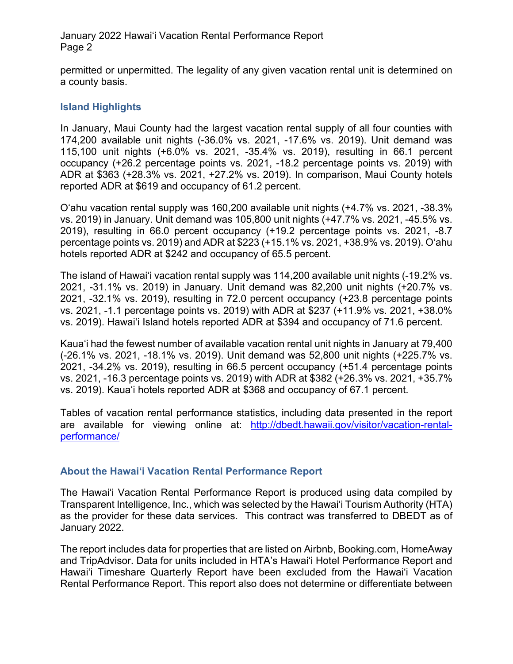January 2022 Hawai'i Vacation Rental Performance Report Page 2

permitted or unpermitted. The legality of any given vacation rental unit is determined on a county basis.

### **Island Highlights**

In January, Maui County had the largest vacation rental supply of all four counties with 174,200 available unit nights (-36.0% vs. 2021, -17.6% vs. 2019). Unit demand was 115,100 unit nights (+6.0% vs. 2021, -35.4% vs. 2019), resulting in 66.1 percent occupancy (+26.2 percentage points vs. 2021, -18.2 percentage points vs. 2019) with ADR at \$363 (+28.3% vs. 2021, +27.2% vs. 2019). In comparison, Maui County hotels reported ADR at \$619 and occupancy of 61.2 percent.

O'ahu vacation rental supply was 160,200 available unit nights (+4.7% vs. 2021, -38.3% vs. 2019) in January. Unit demand was 105,800 unit nights (+47.7% vs. 2021, -45.5% vs. 2019), resulting in 66.0 percent occupancy (+19.2 percentage points vs. 2021, -8.7 percentage points vs. 2019) and ADR at \$223 (+15.1% vs. 2021, +38.9% vs. 2019). O'ahu hotels reported ADR at \$242 and occupancy of 65.5 percent.

The island of Hawai'i vacation rental supply was 114,200 available unit nights (-19.2% vs. 2021, -31.1% vs. 2019) in January. Unit demand was 82,200 unit nights (+20.7% vs. 2021, -32.1% vs. 2019), resulting in 72.0 percent occupancy (+23.8 percentage points vs. 2021, -1.1 percentage points vs. 2019) with ADR at \$237 (+11.9% vs. 2021, +38.0% vs. 2019). Hawai'i Island hotels reported ADR at \$394 and occupancy of 71.6 percent.

Kaua'i had the fewest number of available vacation rental unit nights in January at 79,400 (-26.1% vs. 2021, -18.1% vs. 2019). Unit demand was 52,800 unit nights (+225.7% vs. 2021, -34.2% vs. 2019), resulting in 66.5 percent occupancy (+51.4 percentage points vs. 2021, -16.3 percentage points vs. 2019) with ADR at \$382 (+26.3% vs. 2021, +35.7% vs. 2019). Kaua'i hotels reported ADR at \$368 and occupancy of 67.1 percent.

Tables of vacation rental performance statistics, including data presented in the report are available for viewing online at: [http://dbedt.hawaii.gov/visitor/vacation-rental](http://dbedt.hawaii.gov/visitor/vacation-rental-performance/)[performance/](http://dbedt.hawaii.gov/visitor/vacation-rental-performance/)

#### **About the Hawai'i Vacation Rental Performance Report**

The Hawai'i Vacation Rental Performance Report is produced using data compiled by Transparent Intelligence, Inc., which was selected by the Hawai'i Tourism Authority (HTA) as the provider for these data services. This contract was transferred to DBEDT as of January 2022.

The report includes data for properties that are listed on Airbnb, Booking.com, HomeAway and TripAdvisor. Data for units included in HTA's Hawai'i Hotel Performance Report and Hawai'i Timeshare Quarterly Report have been excluded from the Hawai'i Vacation Rental Performance Report. This report also does not determine or differentiate between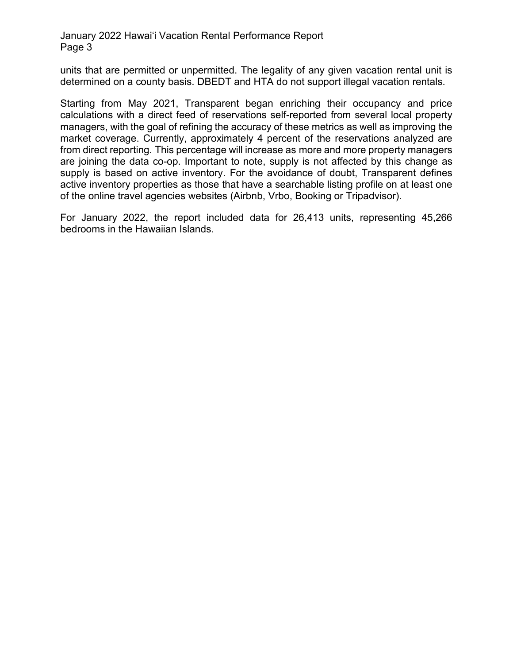#### January 2022 Hawai'i Vacation Rental Performance Report Page 3

units that are permitted or unpermitted. The legality of any given vacation rental unit is determined on a county basis. DBEDT and HTA do not support illegal vacation rentals.

Starting from May 2021, Transparent began enriching their occupancy and price calculations with a direct feed of reservations self-reported from several local property managers, with the goal of refining the accuracy of these metrics as well as improving the market coverage. Currently, approximately 4 percent of the reservations analyzed are from direct reporting. This percentage will increase as more and more property managers are joining the data co-op. Important to note, supply is not affected by this change as supply is based on active inventory. For the avoidance of doubt, Transparent defines active inventory properties as those that have a searchable listing profile on at least one of the online travel agencies websites (Airbnb, Vrbo, Booking or Tripadvisor).

For January 2022, the report included data for 26,413 units, representing 45,266 bedrooms in the Hawaiian Islands.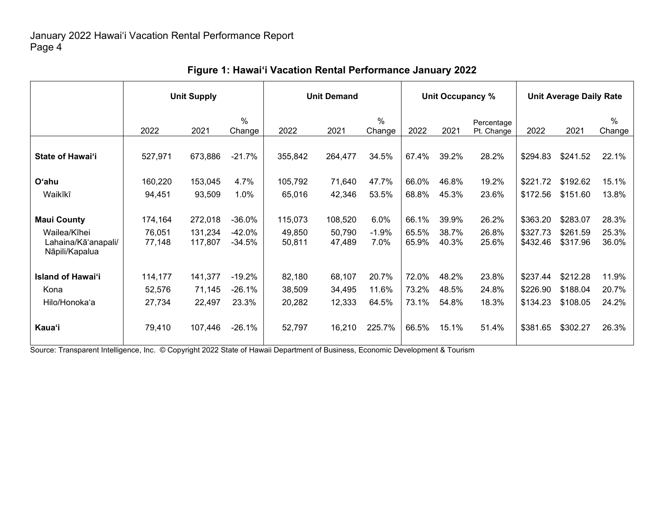|                                                       | <b>Unit Supply</b> |                    |                    | <b>Unit Demand</b> |                  |                 | Unit Occupancy % |                |                          | <b>Unit Average Daily Rate</b> |                      |                         |
|-------------------------------------------------------|--------------------|--------------------|--------------------|--------------------|------------------|-----------------|------------------|----------------|--------------------------|--------------------------------|----------------------|-------------------------|
|                                                       | 2022               | 2021               | $\%$<br>Change     | 2022               | 2021             | $\%$<br>Change  | 2022             | 2021           | Percentage<br>Pt. Change | 2022                           | 2021                 | $\frac{0}{0}$<br>Change |
| State of Hawai'i                                      | 527,971            | 673,886            | $-21.7%$           | 355,842            | 264,477          | 34.5%           | 67.4%            | 39.2%          | 28.2%                    | \$294.83                       | \$241.52             | 22.1%                   |
| O'ahu                                                 | 160,220            | 153,045            | 4.7%               | 105,792            | 71,640           | 47.7%           | 66.0%            | 46.8%          | 19.2%                    | \$221.72                       | \$192.62             | 15.1%                   |
| Waikīkī                                               | 94,451             | 93,509             | 1.0%               | 65,016             | 42,346           | 53.5%           | 68.8%            | 45.3%          | 23.6%                    | \$172.56                       | \$151.60             | 13.8%                   |
| <b>Maui County</b>                                    | 174,164            | 272,018            | $-36.0%$           | 115,073            | 108,520          | 6.0%            | 66.1%            | 39.9%          | 26.2%                    | \$363.20                       | \$283.07             | 28.3%                   |
| Wailea/Kīhei<br>Lahaina/Kā'anapali/<br>Nāpili/Kapalua | 76,051<br>77,148   | 131,234<br>117,807 | -42.0%<br>$-34.5%$ | 49,850<br>50,811   | 50,790<br>47,489 | $-1.9%$<br>7.0% | 65.5%<br>65.9%   | 38.7%<br>40.3% | 26.8%<br>25.6%           | \$327.73<br>\$432.46           | \$261.59<br>\$317.96 | 25.3%<br>36.0%          |
| <b>Island of Hawai'i</b>                              | 114,177            | 141,377            | $-19.2%$           | 82,180             | 68,107           | 20.7%           | 72.0%            | 48.2%          | 23.8%                    | \$237.44                       | \$212.28             | 11.9%                   |
| Kona                                                  | 52,576             | 71,145             | $-26.1%$           | 38,509             | 34,495           | 11.6%           | 73.2%            | 48.5%          | 24.8%                    | \$226.90                       | \$188.04             | 20.7%                   |
| Hilo/Honoka'a                                         | 27,734             | 22,497             | 23.3%              | 20,282             | 12,333           | 64.5%           | 73.1%            | 54.8%          | 18.3%                    | \$134.23                       | \$108.05             | 24.2%                   |
| Kaua'i                                                | 79,410             | 107,446            | $-26.1%$           | 52,797             | 16,210           | 225.7%          | 66.5%            | 15.1%          | 51.4%                    | \$381.65                       | \$302.27             | 26.3%                   |

## **Figure 1: Hawai'i Vacation Rental Performance January 2022**

Source: Transparent Intelligence, Inc. © Copyright 2022 State of Hawaii Department of Business, Economic Development & Tourism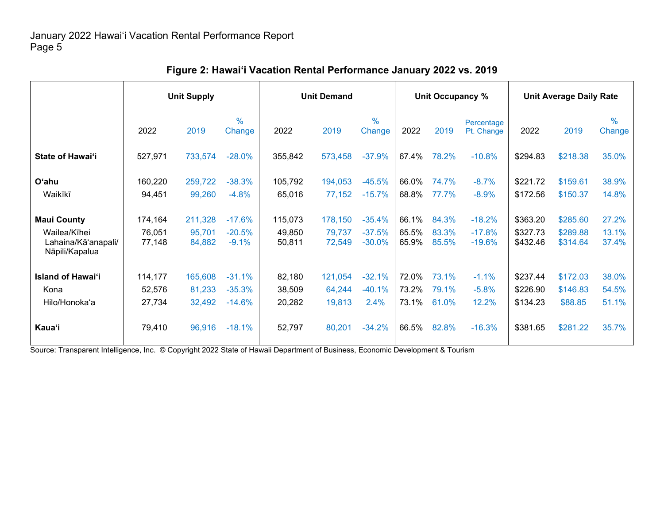|                                                                             | <b>Unit Supply</b>          |                             |                                 | <b>Unit Demand</b>          |                             |                                  | Unit Occupancy %        |                         |                                  | <b>Unit Average Daily Rate</b>   |                                  |                         |
|-----------------------------------------------------------------------------|-----------------------------|-----------------------------|---------------------------------|-----------------------------|-----------------------------|----------------------------------|-------------------------|-------------------------|----------------------------------|----------------------------------|----------------------------------|-------------------------|
|                                                                             | 2022                        | 2019                        | $\frac{9}{6}$<br>Change         | 2022                        | 2019                        | $\frac{0}{0}$<br>Change          | 2022                    | 2019                    | Percentage<br>Pt. Change         | 2022                             | 2019                             | $\frac{0}{0}$<br>Change |
| State of Hawai'i                                                            | 527,971                     | 733,574                     | $-28.0%$                        | 355,842                     | 573,458                     | $-37.9%$                         | 67.4%                   | 78.2%                   | $-10.8%$                         | \$294.83                         | \$218.38                         | 35.0%                   |
| O'ahu                                                                       | 160,220                     | 259,722                     | $-38.3%$                        | 105,792                     | 194,053                     | $-45.5%$                         | 66.0%                   | 74.7%                   | $-8.7%$                          | \$221.72                         | \$159.61                         | 38.9%                   |
| Waikīkī                                                                     | 94,451                      | 99,260                      | $-4.8%$                         | 65,016                      | 77,152                      | $-15.7%$                         | 68.8%                   | 77.7%                   | $-8.9%$                          | \$172.56                         | \$150.37                         | 14.8%                   |
| <b>Maui County</b><br>Wailea/Kīhei<br>Lahaina/Kā'anapali/<br>Nāpili/Kapalua | 174,164<br>76,051<br>77,148 | 211,328<br>95,701<br>84,882 | $-17.6%$<br>$-20.5%$<br>$-9.1%$ | 115,073<br>49,850<br>50,811 | 178,150<br>79,737<br>72,549 | $-35.4%$<br>$-37.5%$<br>$-30.0%$ | 66.1%<br>65.5%<br>65.9% | 84.3%<br>83.3%<br>85.5% | $-18.2%$<br>$-17.8%$<br>$-19.6%$ | \$363.20<br>\$327.73<br>\$432.46 | \$285.60<br>\$289.88<br>\$314.64 | 27.2%<br>13.1%<br>37.4% |
| <b>Island of Hawai'i</b>                                                    | 114,177                     | 165,608                     | $-31.1%$                        | 82,180                      | 121,054                     | $-32.1%$                         | 72.0%                   | 73.1%                   | $-1.1%$                          | \$237.44                         | \$172.03                         | 38.0%                   |
| Kona                                                                        | 52,576                      | 81,233                      | $-35.3%$                        | 38,509                      | 64,244                      | $-40.1%$                         | 73.2%                   | 79.1%                   | $-5.8%$                          | \$226.90                         | \$146.83                         | 54.5%                   |
| Hilo/Honoka'a                                                               | 27,734                      | 32,492                      | $-14.6%$                        | 20,282                      | 19,813                      | 2.4%                             | 73.1%                   | 61.0%                   | 12.2%                            | \$134.23                         | \$88.85                          | 51.1%                   |
| Kaua'i                                                                      | 79,410                      | 96,916                      | $-18.1%$                        | 52,797                      | 80,201                      | $-34.2%$                         | 66.5%                   | 82.8%                   | $-16.3%$                         | \$381.65                         | \$281.22                         | 35.7%                   |

### **Figure 2: Hawai'i Vacation Rental Performance January 2022 vs. 2019**

Source: Transparent Intelligence, Inc. © Copyright 2022 State of Hawaii Department of Business, Economic Development & Tourism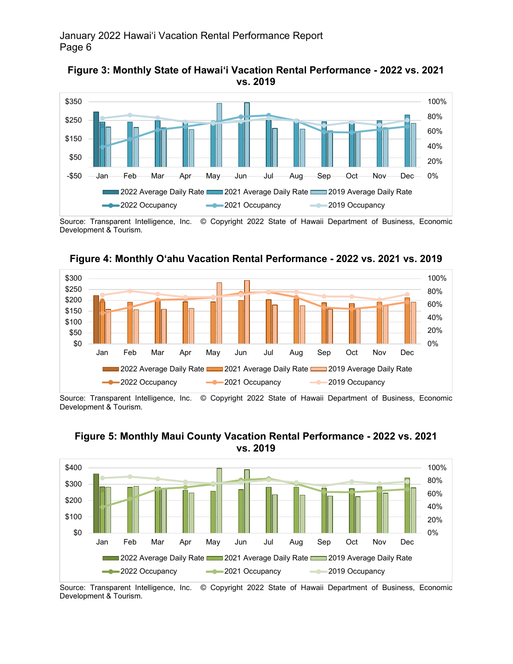



Source: Transparent Intelligence, Inc. © Copyright 2022 State of Hawaii Department of Business, Economic Development & Tourism.



**Figure 4: Monthly O'ahu Vacation Rental Performance - 2022 vs. 2021 vs. 2019**

Source: Transparent Intelligence, Inc. © Copyright 2022 State of Hawaii Department of Business, Economic Development & Tourism.



#### **Figure 5: Monthly Maui County Vacation Rental Performance - 2022 vs. 2021 vs. 2019**

Source: Transparent Intelligence, Inc. © Copyright 2022 State of Hawaii Department of Business, Economic Development & Tourism.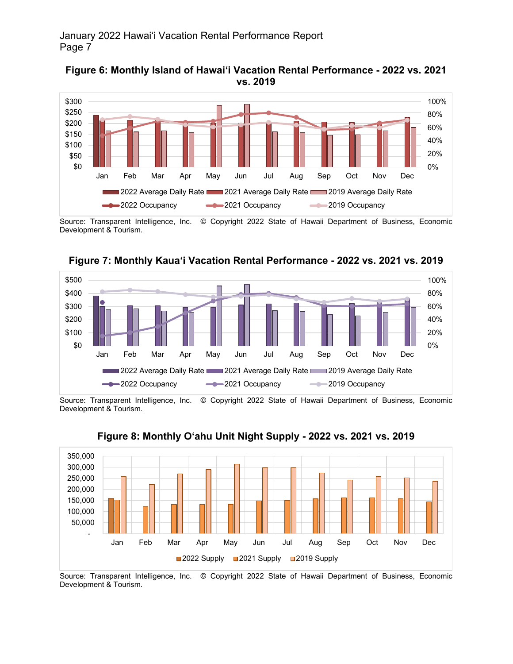



Source: Transparent Intelligence, Inc. © Copyright 2022 State of Hawaii Department of Business, Economic Development & Tourism.



**Figure 7: Monthly Kaua'i Vacation Rental Performance - 2022 vs. 2021 vs. 2019**

Source: Transparent Intelligence, Inc. © Copyright 2022 State of Hawaii Department of Business, Economic Development & Tourism.



**Figure 8: Monthly O'ahu Unit Night Supply - 2022 vs. 2021 vs. 2019**

Source: Transparent Intelligence, Inc. © Copyright 2022 State of Hawaii Department of Business, Economic Development & Tourism.